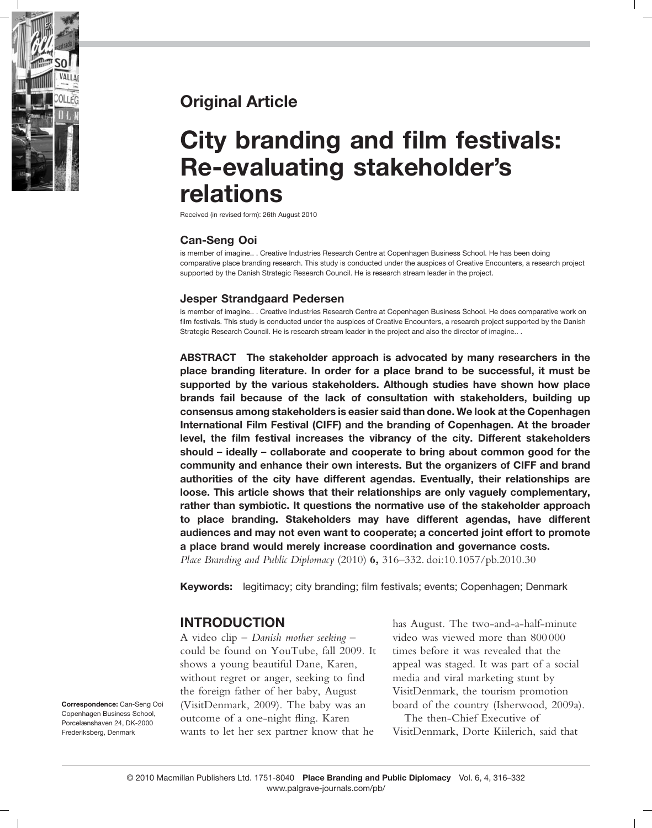

## **Original Article**

# **City branding and film festivals: Re-evaluating stakeholder's relations**

Received (in revised form): 26th August 2010

#### **Can-Seng Ooi**

is member of imagine.. . Creative Industries Research Centre at Copenhagen Business School. He has been doing comparative place branding research. This study is conducted under the auspices of Creative Encounters, a research project supported by the Danish Strategic Research Council. He is research stream leader in the project.

#### **Jesper Strandgaard Pedersen**

is member of imagine.. . Creative Industries Research Centre at Copenhagen Business School. He does comparative work on film festivals. This study is conducted under the auspices of Creative Encounters, a research project supported by the Danish Strategic Research Council. He is research stream leader in the project and also the director of imagine.. .

**ABSTRACT The stakeholder approach is advocated by many researchers in the place branding literature. In order for a place brand to be successful, it must be supported by the various stakeholders. Although studies have shown how place brands fail because of the lack of consultation with stakeholders, building up consensus among stakeholders is easier said than done. We look at the Copenhagen International Film Festival (CIFF) and the branding of Copenhagen. At the broader**  level, the film festival increases the vibrancy of the city. Different stakeholders should – ideally – collaborate and cooperate to bring about common good for the **community and enhance their own interests. But the organizers of CIFF and brand authorities of the city have different agendas. Eventually, their relationships are loose. This article shows that their relationships are only vaguely complementary, rather than symbiotic. It questions the normative use of the stakeholder approach to place branding. Stakeholders may have different agendas, have different audiences and may not even want to cooperate; a concerted joint effort to promote a place brand would merely increase coordination and governance costs.**  *Place Branding and Public Diplomacy* (2010) **6,** 316–332. doi:10.1057/pb.2010.30

**Keywords:** legitimacy; city branding; film festivals; events; Copenhagen; Denmark

## **INTRODUCTION**

A video clip – *Danish mother seeking* – could be found on YouTube, fall 2009. It shows a young beautiful Dane, Karen, without regret or anger, seeking to find the foreign father of her baby, August (VisitDenmark, 2009). The baby was an outcome of a one-night fling. Karen wants to let her sex partner know that he

has August. The two-and-a-half-minute video was viewed more than 800 000 times before it was revealed that the appeal was staged. It was part of a social media and viral marketing stunt by VisitDenmark, the tourism promotion board of the country (Isherwood, 2009a). The then-Chief Executive of

VisitDenmark, Dorte Kiilerich, said that

**Correspondence:** Can-Seng Ooi Copenhagen Business School, Porcelænshaven 24, DK-2000 Frederiksberg, Denmark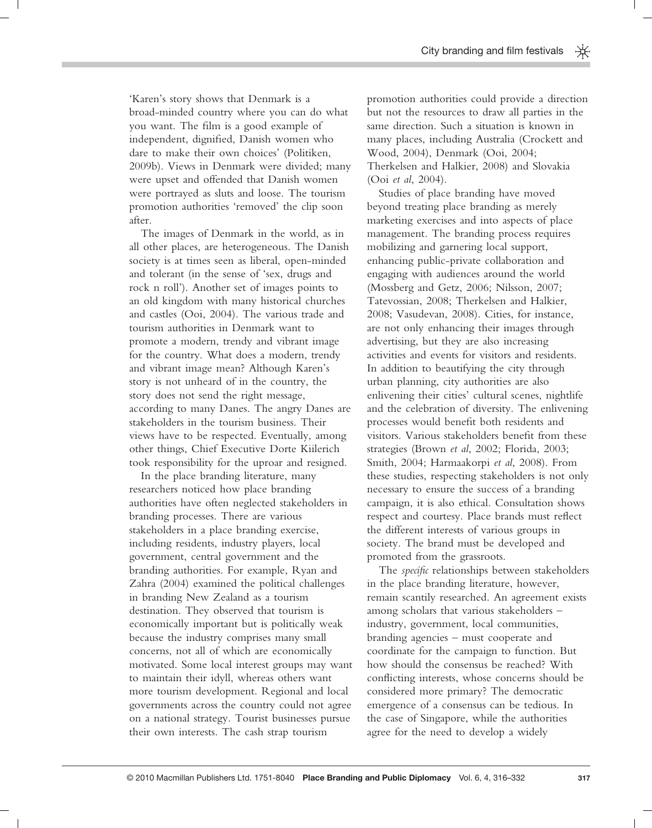'Karen's story shows that Denmark is a broad-minded country where you can do what you want. The film is a good example of independent, dignified, Danish women who dare to make their own choices' (Politiken, 2009b). Views in Denmark were divided; many were upset and offended that Danish women were portrayed as sluts and loose. The tourism promotion authorities 'removed' the clip soon after.

The images of Denmark in the world, as in all other places, are heterogeneous. The Danish society is at times seen as liberal, open-minded and tolerant (in the sense of 'sex, drugs and rock n roll'). Another set of images points to an old kingdom with many historical churches and castles (Ooi, 2004). The various trade and tourism authorities in Denmark want to promote a modern, trendy and vibrant image for the country. What does a modern, trendy and vibrant image mean? Although Karen's story is not unheard of in the country, the story does not send the right message, according to many Danes. The angry Danes are stakeholders in the tourism business. Their views have to be respected. Eventually, among other things, Chief Executive Dorte Kiilerich took responsibility for the uproar and resigned.

In the place branding literature, many researchers noticed how place branding authorities have often neglected stakeholders in branding processes. There are various stakeholders in a place branding exercise, including residents, industry players, local government, central government and the branding authorities. For example, Ryan and Zahra  $(2004)$  examined the political challenges in branding New Zealand as a tourism destination. They observed that tourism is economically important but is politically weak because the industry comprises many small concerns, not all of which are economically motivated. Some local interest groups may want to maintain their idyll, whereas others want more tourism development. Regional and local governments across the country could not agree on a national strategy. Tourist businesses pursue their own interests. The cash strap tourism

promotion authorities could provide a direction but not the resources to draw all parties in the same direction. Such a situation is known in many places, including Australia (Crockett and Wood, 2004), Denmark (Ooi, 2004; Therkelsen and Halkier, 2008) and Slovakia (Ooi *et al*, 2004).

Studies of place branding have moved beyond treating place branding as merely marketing exercises and into aspects of place management. The branding process requires mobilizing and garnering local support, enhancing public-private collaboration and engaging with audiences around the world (Mossberg and Getz, 2006; Nilsson, 2007; Tatevossian, 2008; Therkelsen and Halkier, 2008; Vasudevan, 2008). Cities, for instance, are not only enhancing their images through advertising, but they are also increasing activities and events for visitors and residents. In addition to beautifying the city through urban planning, city authorities are also enlivening their cities' cultural scenes, nightlife and the celebration of diversity. The enlivening processes would benefit both residents and visitors. Various stakeholders benefit from these strategies (Brown *et al*, 2002; Florida, 2003; Smith, 2004; Harmaakorpi et al, 2008). From these studies, respecting stakeholders is not only necessary to ensure the success of a branding campaign, it is also ethical. Consultation shows respect and courtesy. Place brands must reflect the different interests of various groups in society. The brand must be developed and promoted from the grassroots.

The *specific* relationships between stakeholders in the place branding literature, however, remain scantily researched. An agreement exists among scholars that various stakeholders – industry, government, local communities,  $branching$  agencies  $-$  must cooperate and coordinate for the campaign to function. But how should the consensus be reached? With conflicting interests, whose concerns should be considered more primary? The democratic emergence of a consensus can be tedious. In the case of Singapore, while the authorities agree for the need to develop a widely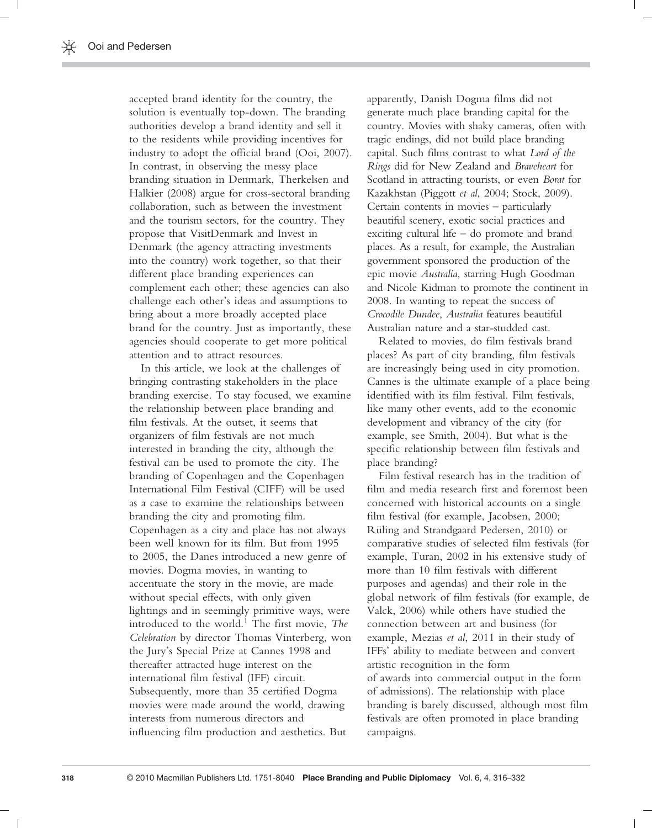accepted brand identity for the country, the solution is eventually top-down. The branding authorities develop a brand identity and sell it to the residents while providing incentives for industry to adopt the official brand (Ooi, 2007). In contrast, in observing the messy place branding situation in Denmark, Therkelsen and Halkier (2008) argue for cross-sectoral branding collaboration, such as between the investment and the tourism sectors, for the country. They propose that VisitDenmark and Invest in Denmark (the agency attracting investments into the country) work together, so that their different place branding experiences can complement each other; these agencies can also challenge each other's ideas and assumptions to bring about a more broadly accepted place brand for the country. Just as importantly, these agencies should cooperate to get more political attention and to attract resources.

In this article, we look at the challenges of bringing contrasting stakeholders in the place branding exercise. To stay focused, we examine the relationship between place branding and film festivals. At the outset, it seems that organizers of film festivals are not much interested in branding the city, although the festival can be used to promote the city. The branding of Copenhagen and the Copenhagen International Film Festival (CIFF) will be used as a case to examine the relationships between branding the city and promoting film. Copenhagen as a city and place has not always been well known for its film. But from 1995 to 2005, the Danes introduced a new genre of movies. Dogma movies, in wanting to accentuate the story in the movie, are made without special effects, with only given lightings and in seemingly primitive ways, were introduced to the world.<sup>1</sup> The first movie, The *Celebration* by director Thomas Vinterberg, won the Jury's Special Prize at Cannes 1998 and thereafter attracted huge interest on the international film festival (IFF) circuit. Subsequently, more than 35 certified Dogma movies were made around the world, drawing interests from numerous directors and influencing film production and aesthetics. But

apparently, Danish Dogma films did not generate much place branding capital for the country. Movies with shaky cameras, often with tragic endings, did not build place branding capital. Such films contrast to what *Lord of the Rings* did for New Zealand and *Braveheart* for Scotland in attracting tourists, or even *Borat* for Kazakhstan (Piggott et al, 2004; Stock, 2009). Certain contents in movies  $-$  particularly beautiful scenery, exotic social practices and exciting cultural life  $-$  do promote and brand places. As a result, for example, the Australian government sponsored the production of the epic movie *Australia*, starring Hugh Goodman and Nicole Kidman to promote the continent in 2008. In wanting to repeat the success of *Crocodile Dundee*, *Australia* features beautiful Australian nature and a star-studded cast.

Related to movies, do film festivals brand places? As part of city branding, film festivals are increasingly being used in city promotion. Cannes is the ultimate example of a place being identified with its film festival. Film festivals, like many other events, add to the economic development and vibrancy of the city (for example, see Smith, 2004). But what is the specific relationship between film festivals and place branding?

Film festival research has in the tradition of film and media research first and foremost been concerned with historical accounts on a single film festival (for example, Jacobsen, 2000; Rüling and Strandgaard Pedersen, 2010) or comparative studies of selected film festivals (for example, Turan, 2002 in his extensive study of more than 10 film festivals with different purposes and agendas) and their role in the global network of film festivals (for example, de Valck, 2006) while others have studied the connection between art and business (for example, Mezias *et al*, 2011 in their study of IFFs 'ability to mediate between and convert artistic recognition in the form of awards into commercial output in the form of admissions). The relationship with place branding is barely discussed, although most film festivals are often promoted in place branding campaigns.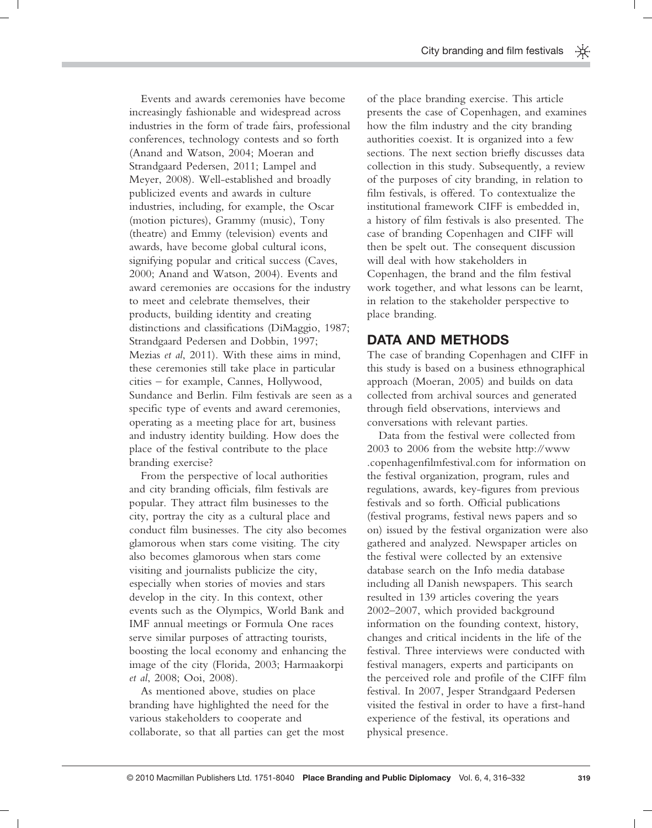Events and awards ceremonies have become increasingly fashionable and widespread across industries in the form of trade fairs, professional conferences, technology contests and so forth (Anand and Watson, 2004; Moeran and Strandgaard Pedersen, 2011; Lampel and Meyer, 2008). Well-established and broadly publicized events and awards in culture industries, including, for example, the Oscar (motion pictures), Grammy (music), Tony (theatre) and Emmy (television) events and awards, have become global cultural icons, signifying popular and critical success (Caves, 2000; Anand and Watson, 2004). Events and award ceremonies are occasions for the industry to meet and celebrate themselves, their products, building identity and creating distinctions and classifications (DiMaggio, 1987; Strandgaard Pedersen and Dobbin, 1997; Mezias *et al*, 2011). With these aims in mind, these ceremonies still take place in particular cities - for example, Cannes, Hollywood, Sundance and Berlin. Film festivals are seen as a specific type of events and award ceremonies, operating as a meeting place for art, business and industry identity building. How does the place of the festival contribute to the place branding exercise?

From the perspective of local authorities and city branding officials, film festivals are popular. They attract film businesses to the city, portray the city as a cultural place and conduct film businesses. The city also becomes glamorous when stars come visiting. The city also becomes glamorous when stars come visiting and journalists publicize the city, especially when stories of movies and stars develop in the city. In this context, other events such as the Olympics, World Bank and IMF annual meetings or Formula One races serve similar purposes of attracting tourists, boosting the local economy and enhancing the image of the city (Florida, 2003; Harmaakorpi *et al.* 2008; Ooi, 2008).

As mentioned above, studies on place branding have highlighted the need for the various stakeholders to cooperate and collaborate, so that all parties can get the most of the place branding exercise. This article presents the case of Copenhagen, and examines how the film industry and the city branding authorities coexist. It is organized into a few sections. The next section briefly discusses data collection in this study. Subsequently, a review of the purposes of city branding, in relation to film festivals, is offered. To contextualize the institutional framework CIFF is embedded in, a history of film festivals is also presented. The case of branding Copenhagen and CIFF will then be spelt out. The consequent discussion will deal with how stakeholders in Copenhagen, the brand and the film festival work together, and what lessons can be learnt, in relation to the stakeholder perspective to place branding.

## **DATA AND METHODS**

The case of branding Copenhagen and CIFF in this study is based on a business ethnographical approach (Moeran, 2005) and builds on data collected from archival sources and generated through field observations, interviews and conversations with relevant parties.

Data from the festival were collected from 2003 to 2006 from the website http://www .copenhagenfilmfestival.com for information on the festival organization, program, rules and regulations, awards, key-figures from previous festivals and so forth. Official publications (festival programs, festival news papers and so on) issued by the festival organization were also gathered and analyzed. Newspaper articles on the festival were collected by an extensive database search on the Info media database including all Danish newspapers. This search resulted in 139 articles covering the years 2002-2007, which provided background information on the founding context, history, changes and critical incidents in the life of the festival. Three interviews were conducted with festival managers, experts and participants on the perceived role and profile of the CIFF film festival. In 2007, Jesper Strandgaard Pedersen visited the festival in order to have a first-hand experience of the festival, its operations and physical presence.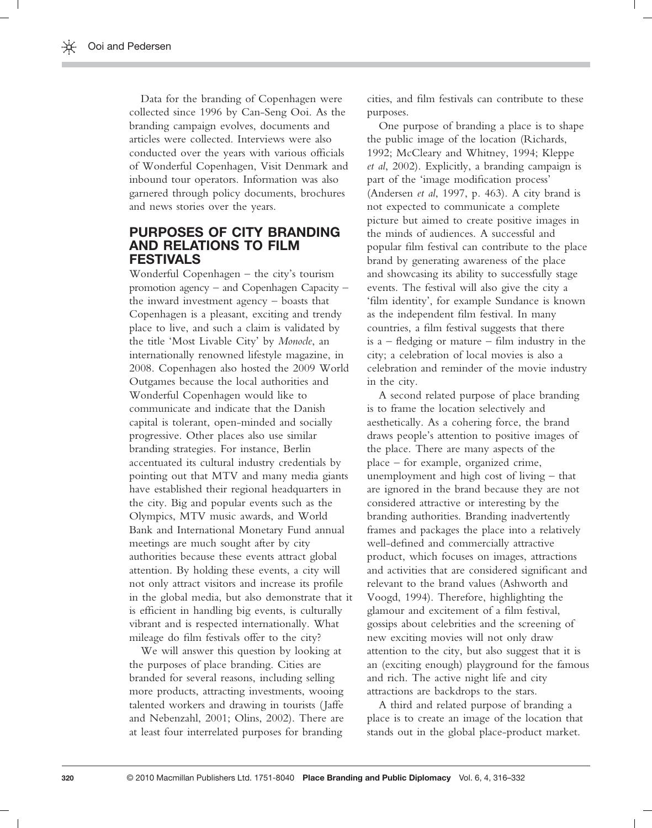Data for the branding of Copenhagen were collected since 1996 by Can-Seng Ooi. As the branding campaign evolves, documents and articles were collected. Interviews were also conducted over the years with various officials of Wonderful Copenhagen, Visit Denmark and inbound tour operators. Information was also garnered through policy documents, brochures and news stories over the years.

## **PURPOSES OF CITY BRANDING AND RELATIONS TO FILM FESTIVALS**

Wonderful Copenhagen - the city's tourism promotion agency  $-$  and Copenhagen Capacity  $$ the inward investment agency  $-$  boasts that Copenhagen is a pleasant, exciting and trendy place to live, and such a claim is validated by the title 'Most Livable City' by *Monocle*, an internationally renowned lifestyle magazine, in 2008. Copenhagen also hosted the 2009 World Outgames because the local authorities and Wonderful Copenhagen would like to communicate and indicate that the Danish capital is tolerant, open-minded and socially progressive. Other places also use similar branding strategies. For instance, Berlin accentuated its cultural industry credentials by pointing out that MTV and many media giants have established their regional headquarters in the city. Big and popular events such as the Olympics, MTV music awards, and World Bank and International Monetary Fund annual meetings are much sought after by city authorities because these events attract global attention. By holding these events, a city will not only attract visitors and increase its profile in the global media, but also demonstrate that it is efficient in handling big events, is culturally vibrant and is respected internationally. What mileage do film festivals offer to the city?

We will answer this question by looking at the purposes of place branding. Cities are branded for several reasons, including selling more products, attracting investments, wooing talented workers and drawing in tourists (Jaffe and Nebenzahl, 2001; Olins, 2002). There are at least four interrelated purposes for branding

cities, and film festivals can contribute to these purposes.

One purpose of branding a place is to shape the public image of the location (Richards, 1992; McCleary and Whitney, 1994; Kleppe *et al*, 2002). Explicitly, a branding campaign is part of the 'image modification process' (Andersen *et al*, 1997, p. 463). A city brand is not expected to communicate a complete picture but aimed to create positive images in the minds of audiences. A successful and popular film festival can contribute to the place brand by generating awareness of the place and showcasing its ability to successfully stage events. The festival will also give the city a 'film identity', for example Sundance is known as the independent film festival. In many countries, a film festival suggests that there is a – fledging or mature – film industry in the city; a celebration of local movies is also a celebration and reminder of the movie industry in the city.

A second related purpose of place branding is to frame the location selectively and aesthetically. As a cohering force, the brand draws people's attention to positive images of the place. There are many aspects of the  $place - for example, organized crime,$ unemployment and high cost of living  $-$  that are ignored in the brand because they are not considered attractive or interesting by the branding authorities. Branding inadvertently frames and packages the place into a relatively well-defined and commercially attractive product, which focuses on images, attractions and activities that are considered significant and relevant to the brand values (Ashworth and Voogd, 1994). Therefore, highlighting the glamour and excitement of a film festival, gossips about celebrities and the screening of new exciting movies will not only draw attention to the city, but also suggest that it is an (exciting enough) playground for the famous and rich. The active night life and city attractions are backdrops to the stars.

A third and related purpose of branding a place is to create an image of the location that stands out in the global place-product market.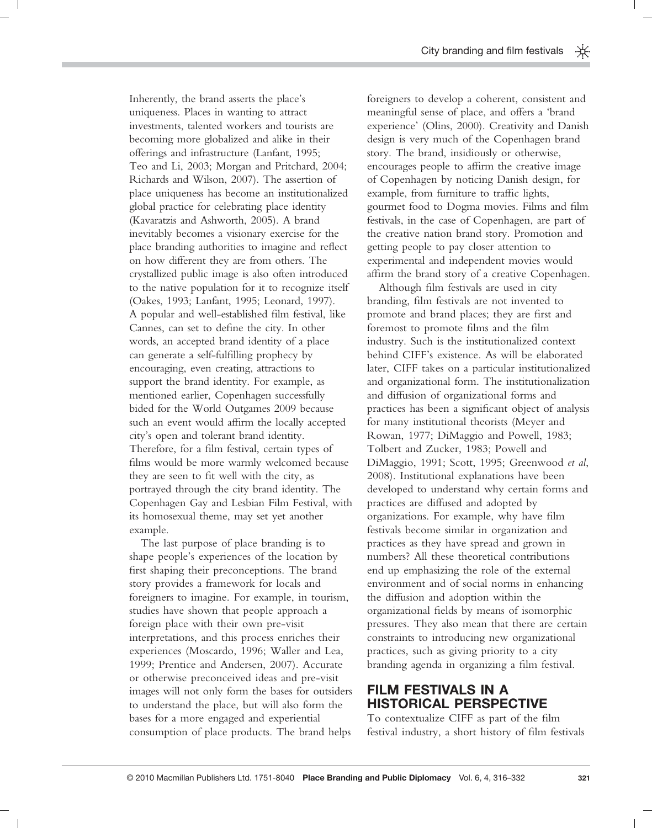Inherently, the brand asserts the place's uniqueness. Places in wanting to attract investments, talented workers and tourists are becoming more globalized and alike in their offerings and infrastructure (Lanfant, 1995; Teo and Li, 2003; Morgan and Pritchard, 2004; Richards and Wilson, 2007). The assertion of place uniqueness has become an institutionalized global practice for celebrating place identity (Kavaratzis and Ashworth, 2005). A brand inevitably becomes a visionary exercise for the place branding authorities to imagine and reflect on how different they are from others. The crystallized public image is also often introduced to the native population for it to recognize itself (Oakes, 1993; Lanfant, 1995; Leonard, 1997). A popular and well-established film festival, like Cannes, can set to define the city. In other words, an accepted brand identity of a place can generate a self-fulfilling prophecy by encouraging, even creating, attractions to support the brand identity. For example, as mentioned earlier, Copenhagen successfully bided for the World Outgames 2009 because such an event would affirm the locally accepted city's open and tolerant brand identity. Therefore, for a film festival, certain types of films would be more warmly welcomed because they are seen to fit well with the city, as portrayed through the city brand identity. The Copenhagen Gay and Lesbian Film Festival, with its homosexual theme, may set yet another example.

The last purpose of place branding is to shape people's experiences of the location by first shaping their preconceptions. The brand story provides a framework for locals and foreigners to imagine. For example, in tourism, studies have shown that people approach a foreign place with their own pre-visit interpretations, and this process enriches their experiences (Moscardo, 1996; Waller and Lea, 1999; Prentice and Andersen, 2007). Accurate or otherwise preconceived ideas and pre-visit images will not only form the bases for outsiders to understand the place, but will also form the bases for a more engaged and experiential consumption of place products. The brand helps

foreigners to develop a coherent, consistent and meaningful sense of place, and offers a 'brand experience' (Olins, 2000). Creativity and Danish design is very much of the Copenhagen brand story. The brand, insidiously or otherwise, encourages people to affirm the creative image of Copenhagen by noticing Danish design, for example, from furniture to traffic lights, gourmet food to Dogma movies. Films and film festivals, in the case of Copenhagen, are part of the creative nation brand story. Promotion and getting people to pay closer attention to experimental and independent movies would affirm the brand story of a creative Copenhagen.

Although film festivals are used in city branding, film festivals are not invented to promote and brand places; they are first and foremost to promote films and the film industry. Such is the institutionalized context behind CIFF's existence. As will be elaborated later, CIFF takes on a particular institutionalized and organizational form. The institutionalization and diffusion of organizational forms and practices has been a significant object of analysis for many institutional theorists ( Meyer and Rowan, 1977; DiMaggio and Powell, 1983; Tolbert and Zucker, 1983; Powell and DiMaggio, 1991; Scott, 1995; Greenwood et al, 2008). Institutional explanations have been developed to understand why certain forms and practices are diffused and adopted by organizations. For example, why have film festivals become similar in organization and practices as they have spread and grown in numbers? All these theoretical contributions end up emphasizing the role of the external environment and of social norms in enhancing the diffusion and adoption within the organizational fields by means of isomorphic pressures. They also mean that there are certain constraints to introducing new organizational practices, such as giving priority to a city branding agenda in organizing a film festival.

## **FILM FESTIVALS IN A HISTORICAL PERSPECTIVE**

To contextualize CIFF as part of the film festival industry, a short history of film festivals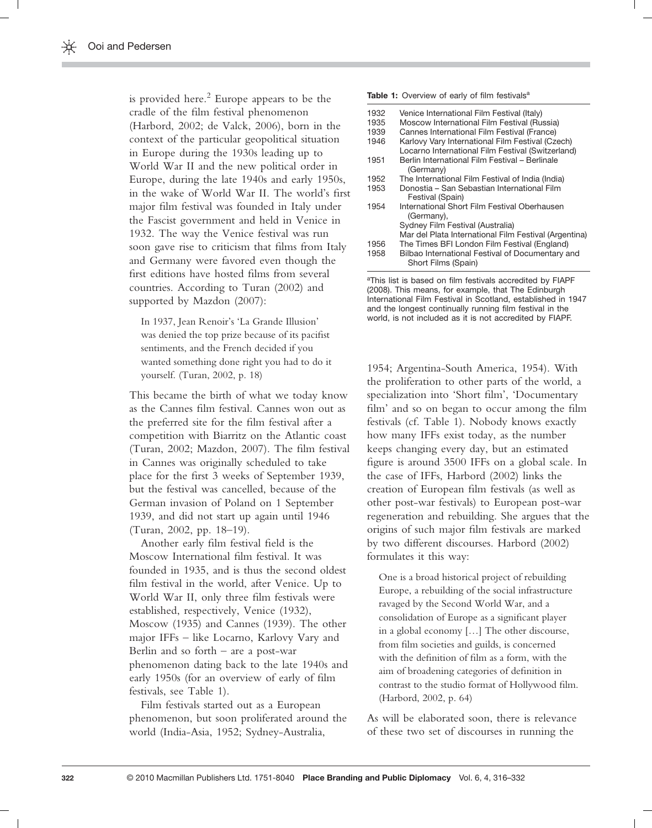is provided here.<sup>2</sup> Europe appears to be the cradle of the film festival phenomenon  $(Harbord, 2002; de Valck, 2006)$ , born in the context of the particular geopolitical situation in Europe during the 1930s leading up to World War II and the new political order in Europe, during the late 1940s and early 1950s, in the wake of World War II. The world's first major film festival was founded in Italy under the Fascist government and held in Venice in 1932. The way the Venice festival was run soon gave rise to criticism that films from Italy and Germany were favored even though the first editions have hosted films from several countries. According to Turan (2002) and supported by Mazdon (2007):

In 1937, Jean Renoir's 'La Grande Illusion' was denied the top prize because of its pacifist sentiments, and the French decided if you wanted something done right you had to do it yourself. (Turan, 2002, p. 18)

This became the birth of what we today know as the Cannes film festival. Cannes won out as the preferred site for the film festival after a competition with Biarritz on the Atlantic coast (Turan, 2002; Mazdon, 2007). The film festival in Cannes was originally scheduled to take place for the first 3 weeks of September 1939, but the festival was cancelled, because of the German invasion of Poland on 1 September 1939, and did not start up again until 1946 (Turan, 2002, pp. 18–19).

Another early film festival field is the Moscow International film festival. It was founded in 1935, and is thus the second oldest film festival in the world, after Venice. Up to World War II, only three film festivals were established, respectively, Venice (1932), Moscow (1935) and Cannes (1939). The other major IFFs – like Locarno, Karlovy Vary and Berlin and so forth – are a post-war phenomenon dating back to the late 1940s and early 1950s (for an overview of early of film festivals, see Table 1).

Film festivals started out as a European phenomenon, but soon proliferated around the world (India-Asia, 1952; Sydney-Australia,

**Table 1:** Overview of early of film festivals<sup>a</sup>

| 1932<br>1935<br>1939<br>1946 | Venice International Film Festival (Italy)<br>Moscow International Film Festival (Russia)<br>Cannes International Film Festival (France)<br>Karlovy Vary International Film Festival (Czech)<br>Locarno International Film Festival (Switzerland) |
|------------------------------|---------------------------------------------------------------------------------------------------------------------------------------------------------------------------------------------------------------------------------------------------|
| 1951                         | Berlin International Film Festival - Berlinale<br>(Germany)                                                                                                                                                                                       |
| 1952                         | The International Film Festival of India (India)                                                                                                                                                                                                  |
| 1953                         | Donostia - San Sebastian International Film<br>Festival (Spain)                                                                                                                                                                                   |
| 1954                         | International Short Film Festival Oberhausen<br>(Germany),                                                                                                                                                                                        |
|                              | Sydney Film Festival (Australia)                                                                                                                                                                                                                  |
|                              | Mar del Plata International Film Festival (Argentina)                                                                                                                                                                                             |
| 1956                         | The Times BFI London Film Festival (England)                                                                                                                                                                                                      |
| 1958                         | Bilbao International Festival of Documentary and<br>Short Films (Spain)                                                                                                                                                                           |

<sup>a</sup>This list is based on film festivals accredited by FIAPF (2008). This means, for example, that The Edinburgh International Film Festival in Scotland, established in 1947 and the longest continually running film festival in the world, is not included as it is not accredited by FIAPF.

1954; Argentina-South America, 1954). With the proliferation to other parts of the world, a specialization into 'Short film', 'Documentary film' and so on began to occur among the film festivals (cf. Table 1). Nobody knows exactly how many IFFs exist today, as the number keeps changing every day, but an estimated figure is around 3500 IFFs on a global scale. In the case of IFFs, Harbord  $(2002)$  links the creation of European film festivals (as well as other post-war festivals) to European post-war regeneration and rebuilding. She argues that the origins of such major film festivals are marked by two different discourses. Harbord (2002) formulates it this way:

One is a broad historical project of rebuilding Europe, a rebuilding of the social infrastructure ravaged by the Second World War, and a consolidation of Europe as a significant player in a global economy [...] The other discourse, from film societies and guilds, is concerned with the definition of film as a form, with the aim of broadening categories of definition in contrast to the studio format of Hollywood film. (Harbord, 2002, p. 64)

As will be elaborated soon, there is relevance of these two set of discourses in running the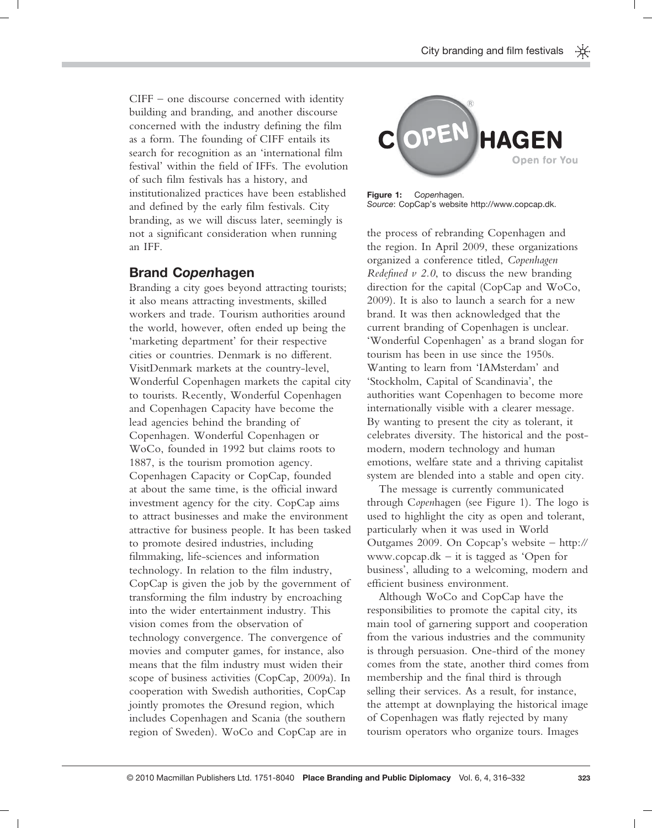$CIFF$  – one discourse concerned with identity building and branding, and another discourse concerned with the industry defining the film as a form. The founding of CIFF entails its search for recognition as an 'international film festival' within the field of IFFs. The evolution of such film festivals has a history, and institutionalized practices have been established and defined by the early film festivals. City branding, as we will discuss later, seemingly is not a significant consideration when running an IFF.

## **Brand Copenhagen**

Branding a city goes beyond attracting tourists; it also means attracting investments, skilled workers and trade. Tourism authorities around the world, however, often ended up being the 'marketing department' for their respective cities or countries. Denmark is no different. VisitDenmark markets at the country-level, Wonderful Copenhagen markets the capital city to tourists. Recently, Wonderful Copenhagen and Copenhagen Capacity have become the lead agencies behind the branding of Copenhagen. Wonderful Copenhagen or WoCo, founded in 1992 but claims roots to 1887, is the tourism promotion agency. Copenhagen Capacity or CopCap, founded at about the same time, is the official inward investment agency for the city. CopCap aims to attract businesses and make the environment attractive for business people. It has been tasked to promote desired industries, including filmmaking, life-sciences and information technology. In relation to the film industry, CopCap is given the job by the government of transforming the film industry by encroaching into the wider entertainment industry. This vision comes from the observation of technology convergence. The convergence of movies and computer games, for instance, also means that the film industry must widen their scope of business activities ( $CopCap, 2009a$ ). In cooperation with Swedish authorities, CopCap jointly promotes the Øresund region, which includes Copenhagen and Scania (the southern region of Sweden). WoCo and CopCap are in



Figure 1: Copenhagen. Source: CopCap's website http://www.copcap.dk.

the process of rebranding Copenhagen and the region. In April 2009, these organizations organized a conference titled, *Copenhagen Redefined*  $\nu$  *2.0, to discuss the new branding* direction for the capital ( $\text{CopCap}$  and  $\text{WoCo}$ , 2009). It is also to launch a search for a new brand. It was then acknowledged that the current branding of Copenhagen is unclear. 'Wonderful Copenhagen' as a brand slogan for tourism has been in use since the 1950s. Wanting to learn from 'IAMsterdam' and 'Stockholm, Capital of Scandinavia', the authorities want Copenhagen to become more internationally visible with a clearer message. By wanting to present the city as tolerant, it celebrates diversity. The historical and the postmodern, modern technology and human emotions, welfare state and a thriving capitalist system are blended into a stable and open city.

The message is currently communicated through Copenhagen (see Figure 1). The logo is used to highlight the city as open and tolerant, particularly when it was used in World Outgames 2009. On Copcap's website – http:// www.copcap.dk – it is tagged as 'Open for business', alluding to a welcoming, modern and efficient business environment.

Although WoCo and CopCap have the responsibilities to promote the capital city, its main tool of garnering support and cooperation from the various industries and the community is through persuasion. One-third of the money comes from the state, another third comes from membership and the final third is through selling their services. As a result, for instance, the attempt at downplaying the historical image of Copenhagen was flatly rejected by many tourism operators who organize tours. Images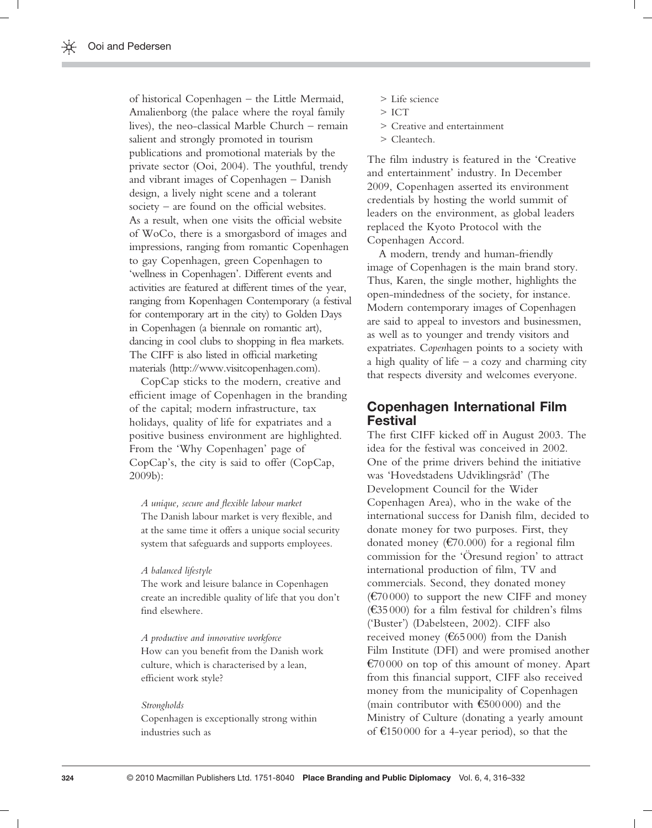of historical Copenhagen - the Little Mermaid, Amalienborg (the palace where the royal family lives), the neo-classical Marble Church – remain salient and strongly promoted in tourism publications and promotional materials by the private sector ( $Ooi$ , 2004). The youthful, trendy and vibrant images of Copenhagen  $-$  Danish design, a lively night scene and a tolerant society – are found on the official websites. As a result, when one visits the official website of WoCo, there is a smorgasbord of images and impressions, ranging from romantic Copenhagen to gay Copenhagen, green Copenhagen to 'wellness in Copenhagen'. Different events and activities are featured at different times of the year, ranging from Kopenhagen Contemporary (a festival for contemporary art in the city) to Golden Days in Copenhagen (a biennale on romantic art), dancing in cool clubs to shopping in flea markets. The CIFF is also listed in official marketing materials (http://www.visitcopenhagen.com).

CopCap sticks to the modern, creative and efficient image of Copenhagen in the branding of the capital; modern infrastructure, tax holidays, quality of life for expatriates and a positive business environment are highlighted. From the 'Why Copenhagen' page of  $CopCap's$ , the city is said to offer ( $CopCap$ , 2009b):

*A unique, secure and flexible labour market* The Danish labour market is very flexible, and at the same time it offers a unique social security system that safeguards and supports employees.

#### *A balanced lifestyle*

The work and leisure balance in Copenhagen create an incredible quality of life that you don't find elsewhere.

#### *A productive and innovative workforce*

How can you benefit from the Danish work culture, which is characterised by a lean, efficient work style?

#### *Strongholds*

Copenhagen is exceptionally strong within industries such as

- >Life science
- $>$ ICT
- >Creative and entertainment
- >Cleantech.

The film industry is featured in the 'Creative and entertainment' industry. In December 2009, Copenhagen asserted its environment credentials by hosting the world summit of leaders on the environment, as global leaders replaced the Kyoto Protocol with the Copenhagen Accord.

A modern, trendy and human-friendly image of Copenhagen is the main brand story. Thus, Karen, the single mother, highlights the open-mindedness of the society, for instance. Modern contemporary images of Copenhagen are said to appeal to investors and businessmen, as well as to younger and trendy visitors and expatriates. Copenhagen points to a society with a high quality of life  $-$  a cozy and charming city that respects diversity and welcomes everyone.

## **Copenhagen International Film Festival**

The first CIFF kicked off in August 2003. The idea for the festival was conceived in 2002. One of the prime drivers behind the initiative was 'Hovedstadens Udviklingsråd' (The Development Council for the Wider Copenhagen Area), who in the wake of the international success for Danish film, decided to donate money for two purposes. First, they donated money ( $\epsilon$ 70.000) for a regional film commission for the 'Oresund region' to attract international production of film, TV and commercials. Second, they donated money  $(\text{\textsterling}70\,000)$  to support the new CIFF and money ( $635000$ ) for a film festival for children's films ('Buster') (Dabelsteen, 2002). CIFF also received money ( $\epsilon$ 65000) from the Danish Film Institute (DFI) and were promised another  $\text{\textsterling}70000$  on top of this amount of money. Apart from this financial support, CIFF also received money from the municipality of Copenhagen (main contributor with  $\text{\textsterling}500\,000$ ) and the Ministry of Culture (donating a yearly amount of  $\text{\textsterling}150\,000$  for a 4-year period), so that the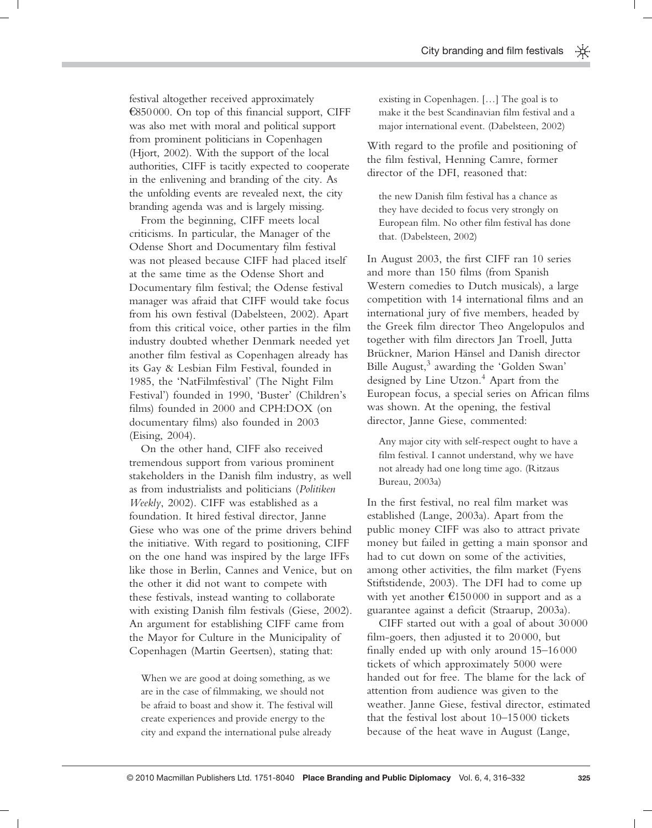festival altogether received approximately  $\epsilon$ 850 000. On top of this financial support, CIFF was also met with moral and political support from prominent politicians in Copenhagen (Hjort, 2002). With the support of the local authorities, CIFF is tacitly expected to cooperate in the enlivening and branding of the city. As the unfolding events are revealed next, the city branding agenda was and is largely missing.

From the beginning, CIFF meets local criticisms. In particular, the Manager of the Odense Short and Documentary film festival was not pleased because CIFF had placed itself at the same time as the Odense Short and Documentary film festival; the Odense festival manager was afraid that CIFF would take focus from his own festival (Dabelsteen, 2002). Apart from this critical voice, other parties in the film industry doubted whether Denmark needed yet another film festival as Copenhagen already has its Gay & Lesbian Film Festival, founded in 1985, the 'NatFilmfestival' (The Night Film Festival') founded in 1990, 'Buster' (Children's films) founded in 2000 and CPH:DOX (on documentary films) also founded in 2003 (Eising, 2004).

On the other hand, CIFF also received tremendous support from various prominent stakeholders in the Danish film industry, as well as from industrialists and politicians ( *Politiken Weekly*, 2002). CIFF was established as a foundation. It hired festival director, Janne Giese who was one of the prime drivers behind the initiative. With regard to positioning, CIFF on the one hand was inspired by the large IFFs like those in Berlin, Cannes and Venice, but on the other it did not want to compete with these festivals, instead wanting to collaborate with existing Danish film festivals (Giese, 2002). An argument for establishing CIFF came from the Mayor for Culture in the Municipality of Copenhagen (Martin Geertsen), stating that:

When we are good at doing something, as we are in the case of filmmaking, we should not be afraid to boast and show it. The festival will create experiences and provide energy to the city and expand the international pulse already

existing in Copenhagen. [...] The goal is to make it the best Scandinavian film festival and a major international event. (Dabelsteen, 2002)

With regard to the profile and positioning of the film festival, Henning Camre, former director of the DFI, reasoned that:

the new Danish film festival has a chance as they have decided to focus very strongly on European film. No other film festival has done that. *(Dabelsteen, 2002)* 

In August 2003, the first CIFF ran 10 series and more than 150 films (from Spanish Western comedies to Dutch musicals), a large competition with 14 international films and an international jury of five members, headed by the Greek film director Theo Angelopulos and together with film directors Jan Troell, Jutta Brückner, Marion Hänsel and Danish director Bille August,<sup>3</sup> awarding the 'Golden Swan' designed by Line Utzon.<sup>4</sup> Apart from the European focus, a special series on African films was shown. At the opening, the festival director, Janne Giese, commented:

Any major city with self-respect ought to have a film festival. I cannot understand, why we have not already had one long time ago. ( Ritzaus Bureau, 2003a)

In the first festival, no real film market was established (Lange, 2003a). Apart from the public money CIFF was also to attract private money but failed in getting a main sponsor and had to cut down on some of the activities, among other activities, the film market (Fyens Stiftstidende, 2003). The DFI had to come up with yet another  $\text{£}150000$  in support and as a guarantee against a deficit (Straarup, 2003a).

CIFF started out with a goal of about 30 000 film-goers, then adjusted it to  $20000$ , but finally ended up with only around  $15-16000$ tickets of which approximately 5000 were handed out for free. The blame for the lack of attention from audience was given to the weather. Janne Giese, festival director, estimated that the festival lost about  $10 - 15000$  tickets because of the heat wave in August (Lange,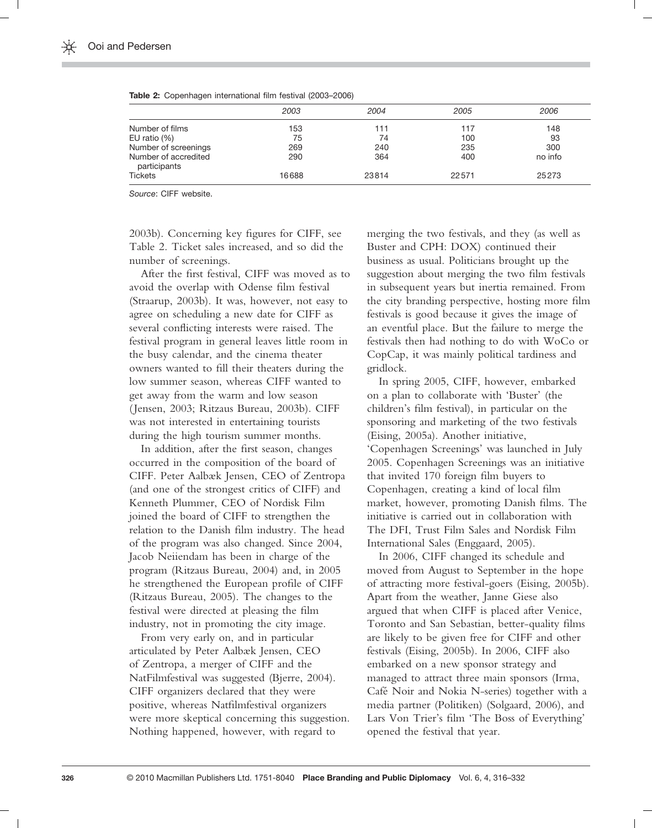| ັ                                    |       |       |       |         |
|--------------------------------------|-------|-------|-------|---------|
|                                      | 2003  | 2004  | 2005  | 2006    |
| Number of films                      | 153   | 111   | 117   | 148     |
| EU ratio $(\%)$                      | 75    | 74    | 100   | 93      |
| Number of screenings                 | 269   | 240   | 235   | 300     |
| Number of accredited<br>participants | 290   | 364   | 400   | no info |
| <b>Tickets</b>                       | 16688 | 23814 | 22571 | 25273   |

**Table 2:** Copenhagen international film festival (2003-2006)

*Source*: CIFF website.

2003b). Concerning key figures for CIFF, see Table 2. Ticket sales increased, and so did the number of screenings.

After the first festival, CIFF was moved as to avoid the overlap with Odense film festival (Straarup, 2003b). It was, however, not easy to agree on scheduling a new date for CIFF as several conflicting interests were raised. The festival program in general leaves little room in the busy calendar, and the cinema theater owners wanted to fill their theaters during the low summer season, whereas CIFF wanted to get away from the warm and low season (Jensen, 2003; Ritzaus Bureau, 2003b). CIFF was not interested in entertaining tourists during the high tourism summer months.

In addition, after the first season, changes occurred in the composition of the board of CIFF. Peter Aalbæk Jensen, CEO of Zentropa (and one of the strongest critics of CIFF) and Kenneth Plummer, CEO of Nordisk Film joined the board of CIFF to strengthen the relation to the Danish film industry. The head of the program was also changed. Since 2004, Jacob Neiiendam has been in charge of the program (Ritzaus Bureau, 2004) and, in 2005 he strengthened the European profile of CIFF (Ritzaus Bureau, 2005). The changes to the festival were directed at pleasing the film industry, not in promoting the city image.

From very early on, and in particular articulated by Peter Aalbæk Jensen, CEO of Zentropa, a merger of CIFF and the NatFilmfestival was suggested (Bjerre, 2004). CIFF organizers declared that they were positive, whereas Natfilmfestival organizers were more skeptical concerning this suggestion. Nothing happened, however, with regard to

merging the two festivals, and they (as well as Buster and CPH: DOX) continued their business as usual. Politicians brought up the suggestion about merging the two film festivals in subsequent years but inertia remained. From the city branding perspective, hosting more film festivals is good because it gives the image of an eventful place. But the failure to merge the festivals then had nothing to do with WoCo or CopCap, it was mainly political tardiness and gridlock.

In spring 2005, CIFF, however, embarked on a plan to collaborate with 'Buster' (the children's film festival), in particular on the sponsoring and marketing of the two festivals (Eising, 2005a). Another initiative, ' Copenhagen Screenings' was launched in July 2005. Copenhagen Screenings was an initiative that invited 170 foreign film buyers to Copenhagen, creating a kind of local film market, however, promoting Danish films. The initiative is carried out in collaboration with The DFI, Trust Film Sales and Nordisk Film International Sales (Enggaard, 2005).

In 2006, CIFF changed its schedule and moved from August to September in the hope of attracting more festival-goers (Eising, 2005b). Apart from the weather, Janne Giese also argued that when CIFF is placed after Venice, Toronto and San Sebastian, better-quality films are likely to be given free for CIFF and other festivals (Eising, 2005b). In 2006, CIFF also embarked on a new sponsor strategy and managed to attract three main sponsors (Irma, Café Noir and Nokia N-series) together with a media partner (Politiken) (Solgaard, 2006), and Lars Von Trier's film 'The Boss of Everything' opened the festival that year.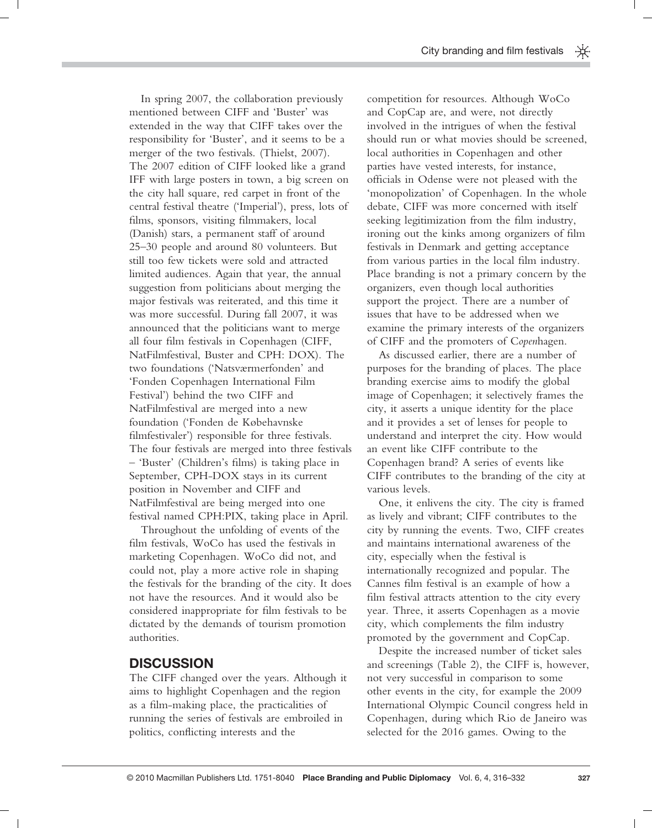In spring 2007, the collaboration previously mentioned between CIFF and 'Buster' was extended in the way that CIFF takes over the responsibility for 'Buster', and it seems to be a merger of the two festivals. (Thielst, 2007). The 2007 edition of CIFF looked like a grand IFF with large posters in town, a big screen on the city hall square, red carpet in front of the central festival theatre ('Imperial'), press, lots of films, sponsors, visiting filmmakers, local (Danish) stars, a permanent staff of around 25 – 30 people and around 80 volunteers. But still too few tickets were sold and attracted limited audiences. Again that year, the annual suggestion from politicians about merging the major festivals was reiterated, and this time it was more successful. During fall 2007, it was announced that the politicians want to merge all four film festivals in Copenhagen (CIFF, NatFilmfestival, Buster and CPH: DOX). The two foundations ('Natsværmerfonden' and ' Fonden Copenhagen International Film Festival') behind the two CIFF and NatFilmfestival are merged into a new foundation ('Fonden de Købehavnske filmfestivaler') responsible for three festivals. The four festivals are merged into three festivals – 'Buster' (Children's films) is taking place in September, CPH-DOX stays in its current position in November and CIFF and NatFilmfestival are being merged into one festival named CPH:PIX, taking place in April.

Throughout the unfolding of events of the film festivals, WoCo has used the festivals in marketing Copenhagen. WoCo did not, and could not, play a more active role in shaping the festivals for the branding of the city. It does not have the resources. And it would also be considered inappropriate for film festivals to be dictated by the demands of tourism promotion authorities.

## **DISCUSSION**

The CIFF changed over the years. Although it aims to highlight Copenhagen and the region as a film-making place, the practicalities of running the series of festivals are embroiled in politics, conflicting interests and the

competition for resources. Although WoCo and CopCap are, and were, not directly involved in the intrigues of when the festival should run or what movies should be screened, local authorities in Copenhagen and other parties have vested interests, for instance, officials in Odense were not pleased with the 'monopolization' of Copenhagen. In the whole debate, CIFF was more concerned with itself seeking legitimization from the film industry, ironing out the kinks among organizers of film festivals in Denmark and getting acceptance from various parties in the local film industry. Place branding is not a primary concern by the organizers, even though local authorities support the project. There are a number of issues that have to be addressed when we examine the primary interests of the organizers of CIFF and the promoters of *Copenhagen*.

As discussed earlier, there are a number of purposes for the branding of places. The place branding exercise aims to modify the global image of Copenhagen; it selectively frames the city, it asserts a unique identity for the place and it provides a set of lenses for people to understand and interpret the city. How would an event like CIFF contribute to the Copenhagen brand? A series of events like CIFF contributes to the branding of the city at various levels.

One, it enlivens the city. The city is framed as lively and vibrant; CIFF contributes to the city by running the events. Two, CIFF creates and maintains international awareness of the city, especially when the festival is internationally recognized and popular. The Cannes film festival is an example of how a film festival attracts attention to the city every year. Three, it asserts Copenhagen as a movie city, which complements the film industry promoted by the government and CopCap.

Despite the increased number of ticket sales and screenings (Table 2), the CIFF is, however, not very successful in comparison to some other events in the city, for example the 2009 International Olympic Council congress held in Copenhagen, during which Rio de Janeiro was selected for the 2016 games. Owing to the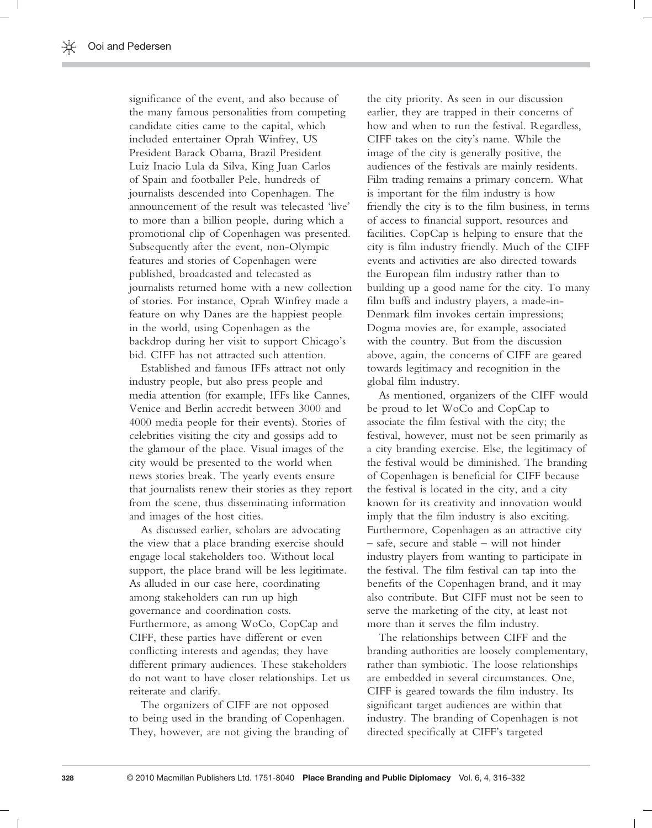significance of the event, and also because of the many famous personalities from competing candidate cities came to the capital, which included entertainer Oprah Winfrey, US President Barack Obama, Brazil President Luiz Inacio Lula da Silva, King Juan Carlos of Spain and footballer Pele, hundreds of journalists descended into Copenhagen. The announcement of the result was telecasted 'live' to more than a billion people, during which a promotional clip of Copenhagen was presented. Subsequently after the event, non-Olympic features and stories of Copenhagen were published, broadcasted and telecasted as journalists returned home with a new collection of stories. For instance, Oprah Winfrey made a feature on why Danes are the happiest people in the world, using Copenhagen as the backdrop during her visit to support Chicago's bid. CIFF has not attracted such attention.

Established and famous IFFs attract not only industry people, but also press people and media attention (for example, IFFs like Cannes, Venice and Berlin accredit between 3000 and 4000 media people for their events). Stories of celebrities visiting the city and gossips add to the glamour of the place. Visual images of the city would be presented to the world when news stories break. The yearly events ensure that journalists renew their stories as they report from the scene, thus disseminating information and images of the host cities.

As discussed earlier, scholars are advocating the view that a place branding exercise should engage local stakeholders too. Without local support, the place brand will be less legitimate. As alluded in our case here, coordinating among stakeholders can run up high governance and coordination costs. Furthermore, as among WoCo, CopCap and CIFF, these parties have different or even conflicting interests and agendas; they have different primary audiences. These stakeholders do not want to have closer relationships. Let us reiterate and clarify.

The organizers of CIFF are not opposed to being used in the branding of Copenhagen. They, however, are not giving the branding of the city priority. As seen in our discussion earlier, they are trapped in their concerns of how and when to run the festival. Regardless, CIFF takes on the city's name. While the image of the city is generally positive, the audiences of the festivals are mainly residents. Film trading remains a primary concern. What is important for the film industry is how friendly the city is to the film business, in terms of access to financial support, resources and facilities. CopCap is helping to ensure that the city is film industry friendly. Much of the CIFF events and activities are also directed towards the European film industry rather than to building up a good name for the city. To many film buffs and industry players, a made-in-Denmark film invokes certain impressions; Dogma movies are, for example, associated with the country. But from the discussion above, again, the concerns of CIFF are geared towards legitimacy and recognition in the global film industry.

As mentioned, organizers of the CIFF would be proud to let WoCo and CopCap to associate the film festival with the city; the festival, however, must not be seen primarily as a city branding exercise. Else, the legitimacy of the festival would be diminished. The branding of Copenhagen is beneficial for CIFF because the festival is located in the city, and a city known for its creativity and innovation would imply that the film industry is also exciting. Furthermore, Copenhagen as an attractive city –safe, secure and stable –will not hinder industry players from wanting to participate in the festival. The film festival can tap into the benefits of the Copenhagen brand, and it may also contribute. But CIFF must not be seen to serve the marketing of the city, at least not more than it serves the film industry.

The relationships between CIFF and the branding authorities are loosely complementary, rather than symbiotic. The loose relationships are embedded in several circumstances. One, CIFF is geared towards the film industry. Its significant target audiences are within that industry. The branding of Copenhagen is not directed specifically at CIFF's targeted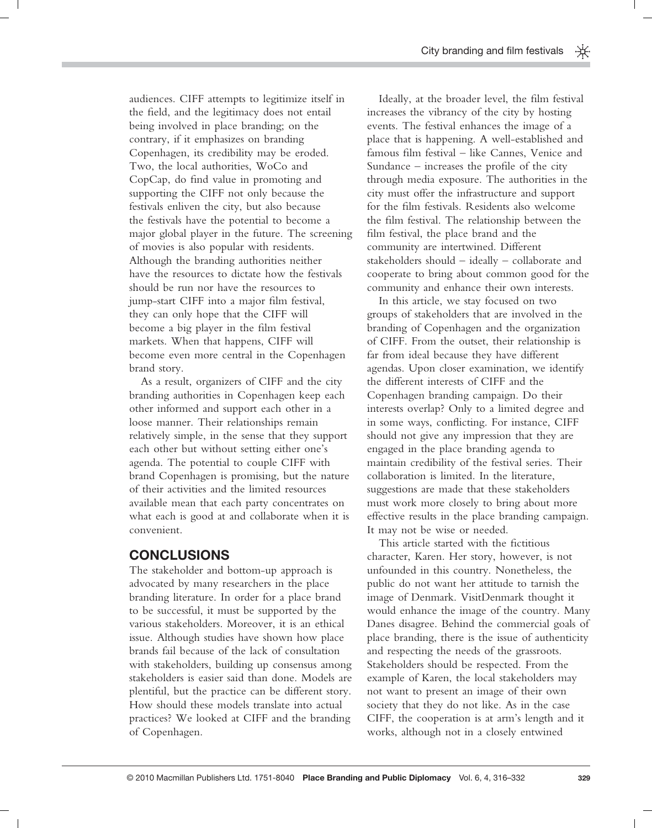audiences. CIFF attempts to legitimize itself in the field, and the legitimacy does not entail being involved in place branding; on the contrary, if it emphasizes on branding Copenhagen, its credibility may be eroded. Two, the local authorities, WoCo and CopCap, do find value in promoting and supporting the CIFF not only because the festivals enliven the city, but also because the festivals have the potential to become a major global player in the future. The screening of movies is also popular with residents. Although the branding authorities neither have the resources to dictate how the festivals should be run nor have the resources to jump-start CIFF into a major film festival, they can only hope that the CIFF will become a big player in the film festival markets. When that happens, CIFF will become even more central in the Copenhagen brand story.

As a result, organizers of CIFF and the city branding authorities in Copenhagen keep each other informed and support each other in a loose manner. Their relationships remain relatively simple, in the sense that they support each other but without setting either one's agenda. The potential to couple CIFF with brand Copenhagen is promising, but the nature of their activities and the limited resources available mean that each party concentrates on what each is good at and collaborate when it is convenient.

## **CONCLUSIONS**

The stakeholder and bottom-up approach is advocated by many researchers in the place branding literature. In order for a place brand to be successful, it must be supported by the various stakeholders. Moreover, it is an ethical issue. Although studies have shown how place brands fail because of the lack of consultation with stakeholders, building up consensus among stakeholders is easier said than done. Models are plentiful, but the practice can be different story. How should these models translate into actual practices? We looked at CIFF and the branding of Copenhagen.

Ideally, at the broader level, the film festival increases the vibrancy of the city by hosting events. The festival enhances the image of a place that is happening. A well-established and famous film festival – like Cannes, Venice and Sundance  $-$  increases the profile of the city through media exposure. The authorities in the city must offer the infrastructure and support for the film festivals. Residents also welcome the film festival. The relationship between the film festival, the place brand and the community are intertwined. Different stakeholders should  $-$  ideally  $-$  collaborate and cooperate to bring about common good for the community and enhance their own interests.

In this article, we stay focused on two groups of stakeholders that are involved in the branding of Copenhagen and the organization of CIFF. From the outset, their relationship is far from ideal because they have different agendas. Upon closer examination, we identify the different interests of CIFF and the Copenhagen branding campaign. Do their interests overlap? Only to a limited degree and in some ways, conflicting. For instance, CIFF should not give any impression that they are engaged in the place branding agenda to maintain credibility of the festival series. Their collaboration is limited. In the literature, suggestions are made that these stakeholders must work more closely to bring about more effective results in the place branding campaign. It may not be wise or needed.

This article started with the fictitious character, Karen. Her story, however, is not unfounded in this country. Nonetheless, the public do not want her attitude to tarnish the image of Denmark. VisitDenmark thought it would enhance the image of the country. Many Danes disagree. Behind the commercial goals of place branding, there is the issue of authenticity and respecting the needs of the grassroots. Stakeholders should be respected. From the example of Karen, the local stakeholders may not want to present an image of their own society that they do not like. As in the case CIFF, the cooperation is at arm's length and it works, although not in a closely entwined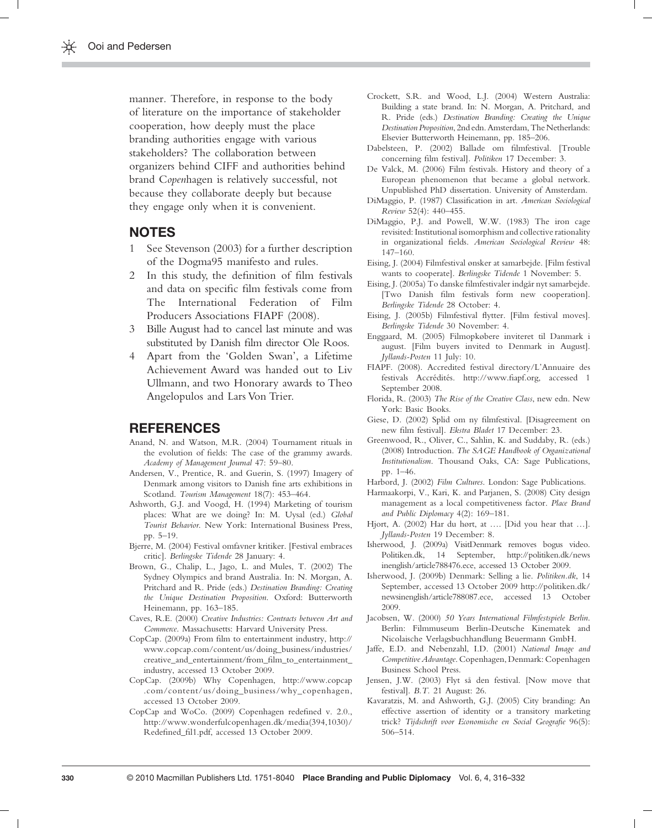manner. Therefore, in response to the body of literature on the importance of stakeholder cooperation, how deeply must the place branding authorities engage with various stakeholders? The collaboration between organizers behind CIFF and authorities behind brand Copenhagen is relatively successful, not because they collaborate deeply but because they engage only when it is convenient.

## **NOTES**

- 1 See Stevenson (2003) for a further description of the Dogma95 manifesto and rules.
- 2 In this study, the definition of film festivals and data on specific film festivals come from The International Federation of Film Producers Associations FIAPF (2008).
- 3 Bille August had to cancel last minute and was substituted by Danish film director Ole Roos.
- 4 Apart from the 'Golden Swan', a Lifetime Achievement Award was handed out to Liv Ullmann, and two Honorary awards to Theo Angelopulos and Lars Von Trier.

## **REFERENCES**

- Anand, N. and Watson, M.R. (2004) Tournament rituals in the evolution of fields: The case of the grammy awards. Academy of Management Journal 47: 59-80.
- Andersen, V., Prentice, R. and Guerin, S. (1997) Imagery of Denmark among visitors to Danish fine arts exhibitions in Scotland. Tourism Management 18(7): 453-464.
- Ashworth, G.J. and Voogd, H. (1994) Marketing of tourism places: What are we doing? In: M. Uysal (ed.) *Global Tourist Behavior*. New York: International Business Press, pp. 5-19.
- Bjerre, M. (2004) Festival omfavner kritiker. [Festival embraces critic]. *Berlingske Tidende* 28 January: 4 .
- Brown, G., Chalip, L., Jago, L. and Mules, T. (2002) The Sydney Olympics and brand Australia. In: N. Morgan, A. Pritchard and R. Pride (eds.) *Destination Branding: Creating the Unique Destination Proposition*. Oxford: Butterworth Heinemann, pp. 163-185.
- Caves, R.E. (2000) *Creative Industries: Contracts between Art and* Commerce. Massachusetts: Harvard University Press.
- CopCap. (2009a) From film to entertainment industry, http:// www.copcap.com/content/us/doing\_business/industries/ creative and entertainment/from film to entertainment industry, accessed 13 October 2009.
- CopCap. (2009b) Why Copenhagen, http://www.copcap .com/content/us/doing\_business/why\_copenhagen , accessed 13 October 2009.
- CopCap and WoCo. (2009) Copenhagen redefined v. 2.0., http://www.wonderfulcopenhagen.dk/media(394,1030)/ Redefined\_fil1.pdf, accessed 13 October 2009.
- Crockett, S.R. and Wood, L.J. (2004) Western Australia: Building a state brand. In: N. Morgan, A. Pritchard, and R. Pride (eds.) *Destination Branding: Creating the Unique Destination Proposition*, 2nd edn. Amsterdam, The Netherlands: Elsevier Butterworth Heinemann, pp. 185-206.
- Dabelsteen, P. (2002) Ballade om filmfestival. [Trouble concerning film festival]. *Politiken* 17 December: 3.
- De Valck, M. (2006) Film festivals. History and theory of a European phenomenon that became a global network. Unpublished PhD dissertation. University of Amsterdam .
- DiMaggio, P. (1987) Classification in art. *American Sociological Review* 52(4): 440-455.
- DiMaggio, P.J. and Powell, W.W. (1983) The iron cage revisited: Institutional isomorphism and collective rationality in organizational fields. American Sociological Review 48:  $147 - 160.$
- Eising, J. (2004) Filmfestival ønsker at samarbejde. [Film festival wants to cooperate]. *Berlingske Tidende* 1 November: 5.
- Eising, J. (2005a) To danske filmfestivaler indgår nyt samarbejde. [Two Danish film festivals form new cooperation]. *Berlingske Tidende* 28 October: 4 .
- Eising, J. (2005b) Filmfestival flytter. [Film festival moves]. *Berlingske Tidende* 30 November: 4 .
- Enggaard, M. (2005) Filmopkøbere inviteret til Danmark i august. [Film buyers invited to Denmark in August]. *Jyllands-Posten* 11 July: 10 .
- FIAPF. (2008). Accredited festival directory/L'Annuaire des festivals Accrédités. http://www.fiapf.org, accessed 1 September 2008 .
- Florida, R. (2003) *The Rise of the Creative Class*, new edn. New York: Basic Books.
- Giese, D. (2002) Splid om ny filmfestival. [Disagreement on new film festival]. *Ekstra Bladet* 17 December: 23.
- Greenwood, R., Oliver, C., Sahlin, K. and Suddaby, R. (eds.) ( 2008 ) Introduction . *The SAGE Handbook of Organizational Institutionalism*. Thousand Oaks, CA: Sage Publications, pp. 1-46.
- Harbord, J. (2002) *Film Cultures*. London: Sage Publications.
- Harmaakorpi, V., Kari, K. and Parjanen, S. (2008) City design management as a local competitiveness factor . *Place Brand*  and Public Diplomacy 4(2): 169-181.
- Hjort, A. (2002) Har du hørt, at .... [Did you hear that ...]. *Jyllands-Posten* 19 December: 8.
- Isherwood, J. (2009a) VisitDenmark removes bogus video. Politiken.dk, 14 September, http://politiken.dk/news inenglish/article788476.ece, accessed 13 October 2009.
- Isherwood, J. (2009b) Denmark: Selling a lie. *Politiken.dk*, 14 September, accessed 13 October 2009 http://politiken.dk/ newsinenglish/article788087.ece, accessed 13 October 2009.
- Jacobsen, W. (2000) 50 Years International Filmfestspiele Berlin. Berlin: Filmmuseum Berlin-Deutsche Kinematek and Nicolaische Verlagsbuchhandlung Beuermann GmbH .
- Jaffe, E.D. and Nebenzahl, I.D. (2001) National Image and *Competitive Advantage*. Copenhagen, Denmark: Copenhagen Business School Press.
- Jensen, J.W. (2003) Flyt så den festival. [Now move that festival]. *B.T.* 21 August: 26 .
- Kavaratzis, M. and Ashworth, G.J. (2005) City branding: An effective assertion of identity or a transitory marketing trick? Tijdschrift voor Economische en Social Geografie 96(5): 506 – 514.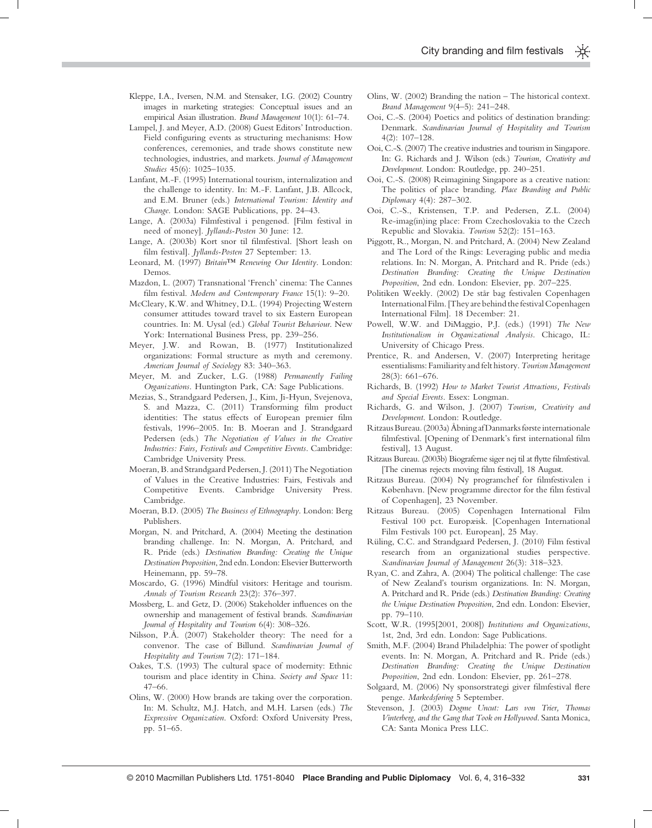- Kleppe, I.A., Iversen, N.M. and Stensaker, I.G. (2002) Country images in marketing strategies: Conceptual issues and an empirical Asian illustration. *Brand Management* 10(1): 61-74.
- Lampel, J. and Meyer, A.D. (2008) Guest Editors' Introduction. Field configuring events as structuring mechanisms: How conferences, ceremonies, and trade shows constitute new technologies, industries, and markets . *Journal of Management*  Studies 45(6): 1025-1035.
- Lanfant, M.-F. (1995) International tourism, internalization and the challenge to identity. In: M.-F. Lanfant, J.B. Allcock, and E.M. Bruner (eds.) *International Tourism: Identity and Change*. London: SAGE Publications, pp. 24-43.
- Lange, A. (2003a) Filmfestival i pengenød. [Film festival in need of money]. *Jyllands-Posten* 30 June: 12 .
- Lange, A. (2003b) Kort snor til filmfestival. [Short leash on film festival]. *Jyllands-Posten* 27 September: 13.
- Leonard, M. (1997) *Britain<sup>TM</sup> Renewing Our Identity*. London: Demos.
- Mazdon, L. (2007) Transnational 'French' cinema: The Cannes film festival. *Modern and Contemporary France* 15(1): 9-20.
- McCleary, K.W. and Whitney, D.L. (1994) Projecting Western consumer attitudes toward travel to six Eastern European countries . In: M. Uysal (ed.) *Global Tourist Behaviour*. New York: International Business Press, pp. 239-256.
- Meyer, J.W. and Rowan, B. (1977) Institutionalized organizations: Formal structure as myth and ceremony . American Journal of Sociology 83: 340-363.
- Meyer, M. and Zucker, L.G. (1988) Permanently Failing *Organizations*. Huntington Park, CA: Sage Publications .
- Mezias, S., Strandgaard Pedersen, J., Kim, Ji-Hyun, Svejenova, S. and Mazza, C. (2011) Transforming film product identities: The status effects of European premier film festivals, 1996-2005. In: B. Moeran and J. Strandgaard Pedersen (eds.) *The Negotiation of Values in the Creative Industries: Fairs, Festivals and Competitive Events* . Cambridge: Cambridge University Press .
- Moeran, B. and Strandgaard Pedersen, J. (2011) The Negotiation of Values in the Creative Industries: Fairs, Festivals and Competitive Events. Cambridge University Press. Cambridge .
- Moeran, B.D. (2005) *The Business of Ethnography*. London: Berg Publishers .
- Morgan, N. and Pritchard, A. (2004) Meeting the destination branding challenge. In: N. Morgan, A. Pritchard, and R. Pride (eds.) *Destination Branding: Creating the Unique Destination Proposition*, 2nd edn. London: Elsevier Butterworth Heinemann, pp. 59-78.
- Moscardo, G. (1996) Mindful visitors: Heritage and tourism. Annals of Tourism Research 23(2): 376-397.
- Mossberg, L. and Getz, D. (2006) Stakeholder influences on the ownership and management of festival brands . *Scandinavian*  Journal of Hospitality and Tourism 6(4): 308–326.
- Nilsson, P.Å. (2007) Stakeholder theory: The need for a convenor. The case of Billund. *Scandinavian Journal of Hospitality and Tourism 7(2): 171-184.*
- Oakes, T.S. (1993) The cultural space of modernity: Ethnic tourism and place identity in China . *Society and Space* 11 :  $47 - 66.$
- Olins, W. (2000) How brands are taking over the corporation. In: M. Schultz, M.J. Hatch, and M.H. Larsen (eds.) *The Expressive Organization*. Oxford: Oxford University Press, pp. 51-65.
- Olins, W.  $(2002)$  Branding the nation The historical context. Brand Management 9(4-5): 241-248.
- Ooi, C.-S. (2004) Poetics and politics of destination branding: Denmark . *Scandinavian Journal of Hospitality and Tourism*  $4(2)$ : 107-128.
- Ooi, C.-S. (2007) The creative industries and tourism in Singapore. In: G. Richards and J. Wilson (eds.) *Tourism, Creativity and Development*. London: Routledge, pp. 240–251.
- Ooi, C.-S. (2008) Reimagining Singapore as a creative nation: The politics of place branding . *Place Branding and Public Diplomacy* 4(4): 287-302.
- Ooi, C.-S., Kristensen, T.P. and Pedersen, Z.L. (2004) Re-imag(in)ing place: From Czechoslovakia to the Czech Republic and Slovakia. *Tourism* 52(2): 151-163.
- Piggott, R., Morgan, N. and Pritchard, A. (2004) New Zealand and The Lord of the Rings: Leveraging public and media relations. In: N. Morgan, A. Pritchard and R. Pride (eds.) *Destination Branding: Creating the Unique Destination*  Proposition, 2nd edn. London: Elsevier, pp. 207-225.
- Politiken Weekly. (2002) De står bag festivalen Copenhagen International Film . [They are behind the festival Copenhagen International Film]. 18 December: 21 .
- Powell, W.W. and DiMaggio, P.J. (eds.) (1991) *The New Institutionalism in Organizational Analysis*. Chicago, IL: University of Chicago Press.
- Prentice, R. and Andersen, V. (2007) Interpreting heritage essentialisms: Familiarity and felt history . *Tourism Management* 28(3): 661-676.
- Richards, B. (1992) *How to Market Tourist Attractions, Festivals and Special Events*. Essex: Longman .
- Richards, G. and Wilson, J. (2007) *Tourism, Creativity and Development*. London: Routledge .
- Ritzaus Bureau. (2003a) Åbning af Danmarks første internationale filmfestival. [Opening of Denmark's first international film festival], 13 August.
- Ritzaus Bureau. (2003b) Biograferne siger nej til at flytte filmfestival. [The cinemas rejects moving film festival], 18 August.
- Ritzaus Bureau. (2004) Ny programchef for filmfestivalen i København. [New programme director for the film festival of Copenhagen], 23 November.
- Ritzaus Bureau. (2005) Copenhagen International Film Festival 100 pct. Europæisk. [Copenhagen International Film Festivals 100 pct. European], 25 May.
- Rüling, C.C. and Strandgaard Pedersen, J. (2010) Film festival research from an organizational studies perspective. Scandinavian Journal of Management 26(3): 318-323.
- Ryan, C. and Zahra, A. (2004) The political challenge: The case of New Zealand's tourism organizations . In: N. Morgan, A. Pritchard and R. Pride (eds.) *Destination Branding: Creating the Unique Destination Proposition*, 2nd edn. London: Elsevier, pp. 79-110.
- Scott, W.R. (1995[2001, 2008]) Institutions and Organizations, 1st, 2nd, 3rd edn. London: Sage Publications .
- Smith, M.F. (2004) Brand Philadelphia: The power of spotlight events. In: N. Morgan, A. Pritchard and R. Pride (eds.) *Destination Branding: Creating the Unique Destination*  Proposition, 2nd edn. London: Elsevier, pp. 261-278.
- Solgaard, M. (2006) Ny sponsorstrategi giver filmfestival flere penge. Markedsføring 5 September.
- Stevenson, J. (2003) *Dogme Uncut: Lars von Trier, Thomas Vinterberg, and the Gang that Took on Hollywood*. Santa Monica, CA: Santa Monica Press LLC.